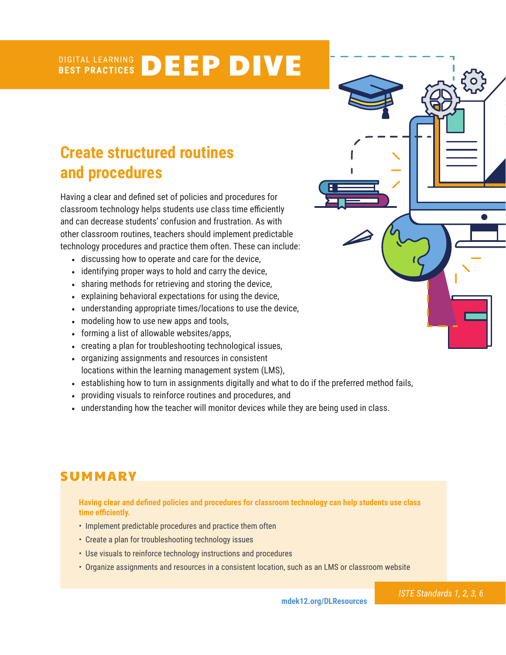#### DIGITAL LEARNING **BEST PRACTICES** DEEP DIVE

# **Create structured routines and procedures**

Having a clear and defined set of policies and procedures for classroom technology helps students use class time efficiently and can decrease students' confusion and frustration. As with other classroom routines, teachers should implement predictable technology procedures and practice them often. These can include:

- discussing how to operate and care for the device,
- identifying proper ways to hold and carry the device,
- sharing methods for retrieving and storing the device,
- explaining behavioral expectations for using the device,
- understanding appropriate times/locations to use the device,
- modeling how to use new apps and tools,
- forming a list of allowable websites/apps,
- creating a plan for troubleshooting technological issues,
- organizing assignments and resources in consistent locations within the learning management system (LMS),
- establishing how to turn in assignments digitally and what to do if the preferred method fails,
- providing visuals to reinforce routines and procedures, and
- understanding how the teacher will monitor devices while they are being used in class.

## **SUMMARY**

**Having clear and defined policies and procedures for classroom technology can help students use class time efficiently.** 

- Implement predictable procedures and practice them often
- Create a plan for troubleshooting technology issues
- Use visuals to reinforce technology instructions and procedures
- Organize assignments and resources in a consistent location, such as an LMS or classroom website



*ISTE Standards 1, 2, 3, 6*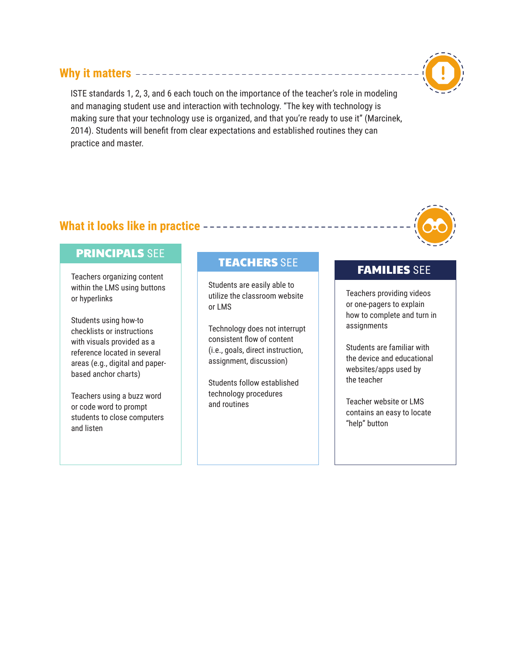## **Why it matters**

ISTE standards 1, 2, 3, and 6 each touch on the importance of the teacher's role in modeling and managing student use and interaction with technology. "The key with technology is making sure that your technology use is organized, and that you're ready to use it" (Marcinek, 2014). Students will benefit from clear expectations and established routines they can practice and master.

## **What it looks like in practice**

## PRINCIPALS SEE

Teachers organizing content within the LMS using buttons or hyperlinks

Students using how-to checklists or instructions with visuals provided as a reference located in several areas (e.g., digital and paperbased anchor charts)

Teachers using a buzz word or code word to prompt students to close computers and listen

# TEACHERS SEE TEAMILIES SEE

Students are easily able to utilize the classroom website or LMS

Technology does not interrupt consistent flow of content (i.e., goals, direct instruction, assignment, discussion)

Students follow established technology procedures and routines

Teachers providing videos or one-pagers to explain how to complete and turn in assignments

Students are familiar with the device and educational websites/apps used by the teacher

Teacher website or LMS contains an easy to locate "help" button